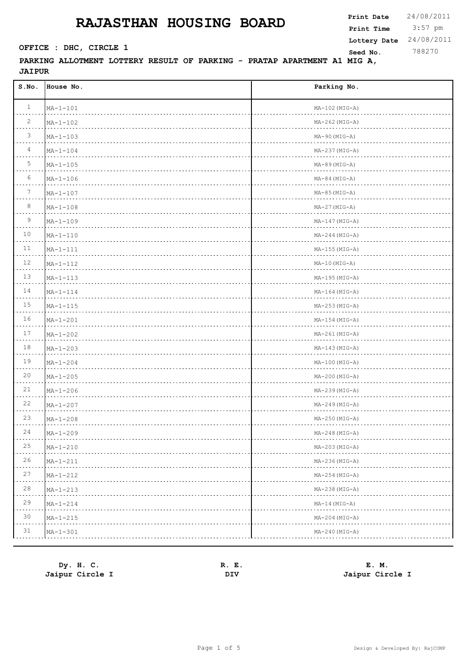3:57 pm **Print Date**  $24/08/2011$ **Print Time Seed No.** 788270 **OFFICE : DHC, CIRCLE 1 Lottery Date** 24/08/2011

| S.NO.           | House No.           | Parking No.          |
|-----------------|---------------------|----------------------|
| $\mathbf{1}$    | $MA-1-101$          | $MA-102(MIG-A)$      |
| 2               | $MA - 1 - 102$      | $MA-262$ ( $MIG-A$ ) |
| $\mathcal{S}$   | $MA - 1 - 103$      | $MA-90 (MIG-A)$      |
| $\overline{4}$  | $MA - 1 - 104$      | $MA-237 (MIG-A)$     |
| 5               | $MA - 1 - 105$      | $MA-89$ ( $MIG-A$ )  |
| 6               | $MA-1-106$          | $MA-84 (MIG-A)$      |
| $7\phantom{.0}$ | $MA - 1 - 107$      | $MA-85$ ( $MIG-A$ )  |
| 8               | $MA - 1 - 108$      | $MA-27 (MIG-A)$      |
| 9               | $MA - 1 - 109$      | $MA-147 (MIG-A)$     |
| 10              | $MA - 1 - 110$      | $MA-244 (MIG-A)$     |
| 11              | $MA-1-111$          | $MA-155$ ( $MIG-A$ ) |
| 12              | $MA - 1 - 112$      | $MA-10(MIG-A)$       |
| 13              | $MA - 1 - 113$      | $MA-195 (MIG-A)$     |
| 14              | $MA - 1 - 114$      | $MA-164 (MIG-A)$     |
| 15              | $MA-1-115$          | $MA-253(MIG-A)$      |
| 16              | $MA - 1 - 201$      | $MA-154 (MIG-A)$     |
| 17              | $MA - 1 - 202$      | $MA-261(MIG-A)$      |
| 18              | $MA - 1 - 203$      | $MA-143(MIG-A)$      |
| 19              | $MA - 1 - 204$      | $MA-100(MIG-A)$      |
| 20              | $MA - 1 - 205$      | $MA-200$ ( $MIG-A$ ) |
| 21              | $MA - 1 - 206$      | $MA-239(MIG-A)$      |
| 22              | $MA - 1 - 207$      | $MA-249(MIG-A)$      |
| 23              | $MA - 1 - 208$      | $MA-250 (MIG-A)$     |
| 24<br>$- - - -$ | $MA - 1 - 209$<br>. | $MA-248(MIG-A)$      |
| 25              | $MA - 1 - 210$      | $MA-203(MIG-A)$      |
| 26              | $MA-1-211$          | $MA-236(MIG-A)$      |
| 27              | $MA - 1 - 212$      | $MA-254 (MIG-A)$     |
| 28              | $MA - 1 - 213$      | $MA-238(MIG-A)$      |
| 29              | $MA - 1 - 214$      | $MA-14 (MIG-A)$      |
| 30              | $MA - 1 - 215$      | $MA-204 (MIG-A)$     |
| 31              | $MA - 1 - 301$      | $MA-240(MIG-A)$      |

| Dy. H. C.       | Е.<br>к. | E. M.           |
|-----------------|----------|-----------------|
| Jaipur Circle I | DIV      | Jaipur Circle I |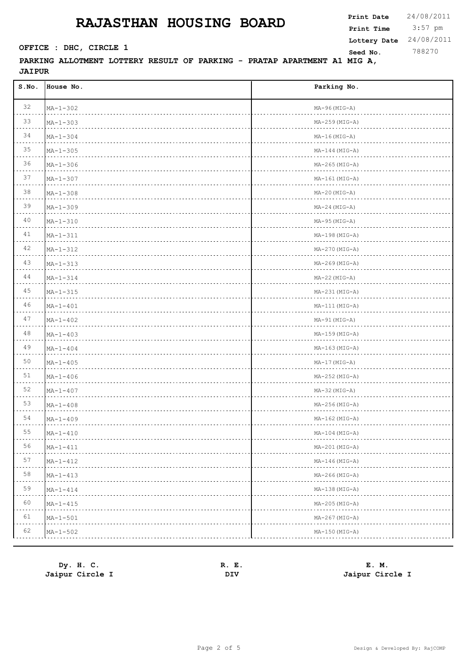3:57 pm **Print Date**  $24/08/2011$ **Print Time Seed No.** 788270 **OFFICE : DHC, CIRCLE 1 Lottery Date** 24/08/2011

| S.NO.                                                                                                                                      | House No.           | Parking No.          |
|--------------------------------------------------------------------------------------------------------------------------------------------|---------------------|----------------------|
| 32                                                                                                                                         | $MA - 1 - 302$      | $MA-96(MIG-A)$       |
| 33                                                                                                                                         | $MA - 1 - 303$      | $MA-259$ ( $MIG-A$ ) |
| 34                                                                                                                                         | $MA - 1 - 304$      | $MA-16(MIG-A)$       |
| 35                                                                                                                                         | $MA - 1 - 305$      | $MA-144 (MIG-A)$     |
| 36                                                                                                                                         | $MA - 1 - 306$      | $MA-265(MIG-A)$      |
| 37                                                                                                                                         | $MA - 1 - 307$      | $MA-161(MIG-A)$      |
| 38                                                                                                                                         | $MA - 1 - 308$      | $MA-20 (MIG-A)$      |
| 39                                                                                                                                         | $MA - 1 - 309$      | $MA-24 (MIG-A)$      |
| 40                                                                                                                                         | $MA - 1 - 310$      | $MA-95 (MIG-A)$      |
| 41                                                                                                                                         | $MA - 1 - 311$      | $MA-198(MIG-A)$      |
| 42                                                                                                                                         | $MA - 1 - 312$      | $MA-270 (MIG-A)$     |
| 43                                                                                                                                         | $MA-1-313$          | $MA-269$ ( $MIG-A$ ) |
| 44                                                                                                                                         | $MA - 1 - 314$      | $MA-22 (MIG-A)$      |
| 45                                                                                                                                         | $MA - 1 - 315$      | $MA-231$ ( $MIG-A$ ) |
| 46                                                                                                                                         | $MA - 1 - 401$      | $MA-111$ ( $MIG-A$ ) |
| 47                                                                                                                                         | $MA - 1 - 402$      | $MA-91$ ( $MIG-A$ )  |
| 48                                                                                                                                         | $MA - 1 - 403$      | $MA-159$ (MIG-A)     |
| 49                                                                                                                                         | $MA - 1 - 404$      | $MA-163(MIG-A)$      |
| 50                                                                                                                                         | $MA - 1 - 405$      | $MA-17(MIG-A)$       |
| 51                                                                                                                                         | $MA - 1 - 406$      | $MA-252$ ( $MIG-A$ ) |
| 52                                                                                                                                         | $MA - 1 - 407$      | $MA-32 (MIG-A)$      |
| 53                                                                                                                                         | $MA - 1 - 408$      | $MA-256(MIG-A)$      |
| 54                                                                                                                                         | $MA - 1 - 409$      | $MA-162 (MIG-A)$     |
| 55<br>$\mathcal{L}^{\mathcal{A}}\left( \mathcal{A}^{\mathcal{A}}\right) =\mathcal{A}^{\mathcal{A}}\left( \mathcal{A}^{\mathcal{A}}\right)$ | $MA - 1 - 410$<br>. | $MA-104 (MIG-A)$     |
| 56                                                                                                                                         | $MA - 1 - 411$      | $MA-201(MIG-A)$      |
| 57                                                                                                                                         | $MA - 1 - 412$      | $MA-146(MIG-A)$      |
| 58                                                                                                                                         | $MA - 1 - 413$      | $MA-266(MIG-A)$      |
| 59                                                                                                                                         | $MA - 1 - 414$      | $MA-138(MIG-A)$      |
| 60                                                                                                                                         | $MA-1-415$          | $MA-205(MIG-A)$      |
| 61                                                                                                                                         | $MA - 1 - 501$      | $MA-267 (MIG-A)$     |
| 62                                                                                                                                         | $MA - 1 - 502$      | $MA-150$ ( $MIG-A$ ) |

| Dy. H. C.       | Е.<br>R. | E. M.           |
|-----------------|----------|-----------------|
| Jaipur Circle I | DIV      | Jaipur Circle I |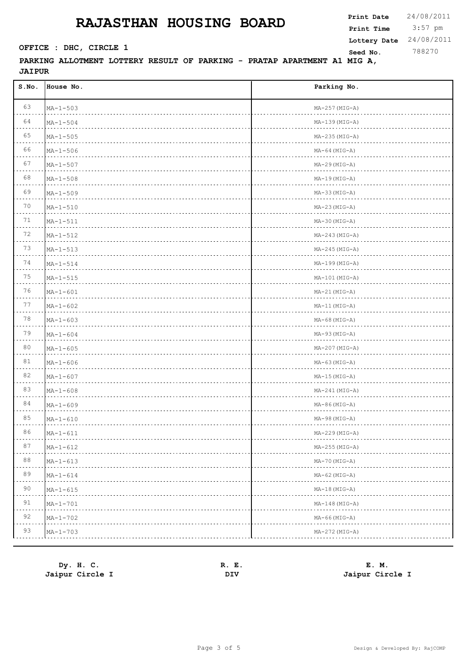3:57 pm **Print Date**  $24/08/2011$ **Print Time Seed No.** 788270 **OFFICE : DHC, CIRCLE 1 Lottery Date** 24/08/2011

| 63<br>$MA - 1 - 503$<br>$MA-257 (MIG-A)$<br>64<br>$MA - 1 - 504$<br>$MA-139$ ( $MIG-A$ )<br>65<br>$MA - 1 - 505$<br>$MA-235(MIG-A)$<br>66<br>$MA - 1 - 506$<br>$MA-64 (MIG-A)$<br>67<br>$MA - 1 - 507$<br>$MA-29$ ( $MIG-A$ )<br>68<br>$MA - 1 - 508$<br>$MA-19(MIG-A)$<br>69<br>$MA-33 (MIG-A)$<br>$MA - 1 - 509$<br>70<br>$MA - 1 - 510$<br>$MA-23(MIG-A)$<br>71<br>$MA-1-511$<br>$MA-30$ ( $MIG-A$ )<br>72<br>$MA-1-512$<br>$MA-243(MIG-A)$<br>73<br>$MA - 1 - 513$<br>$MA-245$ (MIG-A)<br>74<br>$MA - 1 - 514$<br>MA-199 (MIG-A)<br>75<br>$MA - 1 - 515$<br>$MA-101(MIG-A)$<br>76<br>$MA - 1 - 601$<br>$MA-21(MIG-A)$<br>77<br>$MA - 1 - 602$<br>MA-11 (MIG-A)<br>78<br>$MA - 1 - 603$<br>$MA-68$ (MIG-A)<br>79<br>$MA - 1 - 604$<br>$MA-93 (MIG-A)$<br>80<br>$MA - 1 - 605$<br>$MA-207 (MIG-A)$<br>81<br>$MA-63 (MIG-A)$<br>$MA - 1 - 606$<br>82<br>$MA - 1 - 607$<br>$MA-15(MIG-A)$<br>83<br>$MA - 1 - 608$<br>$MA-241$ (MIG-A)<br>84<br>$MA-86 (MIG-A)$<br>$MA - 1 - 609$<br>85<br>$MA - 1 - 610$<br>$MA-98 (MIG-A)$<br>86<br>$MA-1-611$<br>$MA-229(MIG-A)$<br>87<br>$MA-255(MIG-A)$<br>$MA-1-612$<br>88<br>MA-70 (MIG-A)<br>$MA - 1 - 613$<br>89<br>$MA - 1 - 614$<br>$MA-62$ (MIG-A)<br>90<br>$MA-18(MIG-A)$<br>$MA - 1 - 615$<br>91<br>$MA-148(MIG-A)$<br>$MA - 1 - 701$<br>92<br>$MA-66$ ( $MIG-A$ )<br>$MA - 1 - 702$<br>93<br>$MA-272(MIG-A)$<br>$MA - 1 - 703$ | S.NO. | House No. | Parking No. |
|------------------------------------------------------------------------------------------------------------------------------------------------------------------------------------------------------------------------------------------------------------------------------------------------------------------------------------------------------------------------------------------------------------------------------------------------------------------------------------------------------------------------------------------------------------------------------------------------------------------------------------------------------------------------------------------------------------------------------------------------------------------------------------------------------------------------------------------------------------------------------------------------------------------------------------------------------------------------------------------------------------------------------------------------------------------------------------------------------------------------------------------------------------------------------------------------------------------------------------------------------------------------------------------------------------------------------------------------------------------------------|-------|-----------|-------------|
|                                                                                                                                                                                                                                                                                                                                                                                                                                                                                                                                                                                                                                                                                                                                                                                                                                                                                                                                                                                                                                                                                                                                                                                                                                                                                                                                                                              |       |           |             |
|                                                                                                                                                                                                                                                                                                                                                                                                                                                                                                                                                                                                                                                                                                                                                                                                                                                                                                                                                                                                                                                                                                                                                                                                                                                                                                                                                                              |       |           |             |
|                                                                                                                                                                                                                                                                                                                                                                                                                                                                                                                                                                                                                                                                                                                                                                                                                                                                                                                                                                                                                                                                                                                                                                                                                                                                                                                                                                              |       |           |             |
|                                                                                                                                                                                                                                                                                                                                                                                                                                                                                                                                                                                                                                                                                                                                                                                                                                                                                                                                                                                                                                                                                                                                                                                                                                                                                                                                                                              |       |           |             |
|                                                                                                                                                                                                                                                                                                                                                                                                                                                                                                                                                                                                                                                                                                                                                                                                                                                                                                                                                                                                                                                                                                                                                                                                                                                                                                                                                                              |       |           |             |
|                                                                                                                                                                                                                                                                                                                                                                                                                                                                                                                                                                                                                                                                                                                                                                                                                                                                                                                                                                                                                                                                                                                                                                                                                                                                                                                                                                              |       |           |             |
|                                                                                                                                                                                                                                                                                                                                                                                                                                                                                                                                                                                                                                                                                                                                                                                                                                                                                                                                                                                                                                                                                                                                                                                                                                                                                                                                                                              |       |           |             |
|                                                                                                                                                                                                                                                                                                                                                                                                                                                                                                                                                                                                                                                                                                                                                                                                                                                                                                                                                                                                                                                                                                                                                                                                                                                                                                                                                                              |       |           |             |
|                                                                                                                                                                                                                                                                                                                                                                                                                                                                                                                                                                                                                                                                                                                                                                                                                                                                                                                                                                                                                                                                                                                                                                                                                                                                                                                                                                              |       |           |             |
|                                                                                                                                                                                                                                                                                                                                                                                                                                                                                                                                                                                                                                                                                                                                                                                                                                                                                                                                                                                                                                                                                                                                                                                                                                                                                                                                                                              |       |           |             |
|                                                                                                                                                                                                                                                                                                                                                                                                                                                                                                                                                                                                                                                                                                                                                                                                                                                                                                                                                                                                                                                                                                                                                                                                                                                                                                                                                                              |       |           |             |
|                                                                                                                                                                                                                                                                                                                                                                                                                                                                                                                                                                                                                                                                                                                                                                                                                                                                                                                                                                                                                                                                                                                                                                                                                                                                                                                                                                              |       |           |             |
|                                                                                                                                                                                                                                                                                                                                                                                                                                                                                                                                                                                                                                                                                                                                                                                                                                                                                                                                                                                                                                                                                                                                                                                                                                                                                                                                                                              |       |           |             |
|                                                                                                                                                                                                                                                                                                                                                                                                                                                                                                                                                                                                                                                                                                                                                                                                                                                                                                                                                                                                                                                                                                                                                                                                                                                                                                                                                                              |       |           |             |
|                                                                                                                                                                                                                                                                                                                                                                                                                                                                                                                                                                                                                                                                                                                                                                                                                                                                                                                                                                                                                                                                                                                                                                                                                                                                                                                                                                              |       |           |             |
|                                                                                                                                                                                                                                                                                                                                                                                                                                                                                                                                                                                                                                                                                                                                                                                                                                                                                                                                                                                                                                                                                                                                                                                                                                                                                                                                                                              |       |           |             |
|                                                                                                                                                                                                                                                                                                                                                                                                                                                                                                                                                                                                                                                                                                                                                                                                                                                                                                                                                                                                                                                                                                                                                                                                                                                                                                                                                                              |       |           |             |
|                                                                                                                                                                                                                                                                                                                                                                                                                                                                                                                                                                                                                                                                                                                                                                                                                                                                                                                                                                                                                                                                                                                                                                                                                                                                                                                                                                              |       |           |             |
|                                                                                                                                                                                                                                                                                                                                                                                                                                                                                                                                                                                                                                                                                                                                                                                                                                                                                                                                                                                                                                                                                                                                                                                                                                                                                                                                                                              |       |           |             |
|                                                                                                                                                                                                                                                                                                                                                                                                                                                                                                                                                                                                                                                                                                                                                                                                                                                                                                                                                                                                                                                                                                                                                                                                                                                                                                                                                                              |       |           |             |
|                                                                                                                                                                                                                                                                                                                                                                                                                                                                                                                                                                                                                                                                                                                                                                                                                                                                                                                                                                                                                                                                                                                                                                                                                                                                                                                                                                              |       |           |             |
|                                                                                                                                                                                                                                                                                                                                                                                                                                                                                                                                                                                                                                                                                                                                                                                                                                                                                                                                                                                                                                                                                                                                                                                                                                                                                                                                                                              |       |           |             |
|                                                                                                                                                                                                                                                                                                                                                                                                                                                                                                                                                                                                                                                                                                                                                                                                                                                                                                                                                                                                                                                                                                                                                                                                                                                                                                                                                                              |       |           |             |
|                                                                                                                                                                                                                                                                                                                                                                                                                                                                                                                                                                                                                                                                                                                                                                                                                                                                                                                                                                                                                                                                                                                                                                                                                                                                                                                                                                              |       |           |             |
|                                                                                                                                                                                                                                                                                                                                                                                                                                                                                                                                                                                                                                                                                                                                                                                                                                                                                                                                                                                                                                                                                                                                                                                                                                                                                                                                                                              |       |           |             |
|                                                                                                                                                                                                                                                                                                                                                                                                                                                                                                                                                                                                                                                                                                                                                                                                                                                                                                                                                                                                                                                                                                                                                                                                                                                                                                                                                                              |       |           |             |
|                                                                                                                                                                                                                                                                                                                                                                                                                                                                                                                                                                                                                                                                                                                                                                                                                                                                                                                                                                                                                                                                                                                                                                                                                                                                                                                                                                              |       |           |             |
|                                                                                                                                                                                                                                                                                                                                                                                                                                                                                                                                                                                                                                                                                                                                                                                                                                                                                                                                                                                                                                                                                                                                                                                                                                                                                                                                                                              |       |           |             |
|                                                                                                                                                                                                                                                                                                                                                                                                                                                                                                                                                                                                                                                                                                                                                                                                                                                                                                                                                                                                                                                                                                                                                                                                                                                                                                                                                                              |       |           |             |
|                                                                                                                                                                                                                                                                                                                                                                                                                                                                                                                                                                                                                                                                                                                                                                                                                                                                                                                                                                                                                                                                                                                                                                                                                                                                                                                                                                              |       |           |             |
|                                                                                                                                                                                                                                                                                                                                                                                                                                                                                                                                                                                                                                                                                                                                                                                                                                                                                                                                                                                                                                                                                                                                                                                                                                                                                                                                                                              |       |           |             |

| Dy. H. C.       | Е.<br>к. | E. M.           |
|-----------------|----------|-----------------|
| Jaipur Circle I | DIV      | Jaipur Circle I |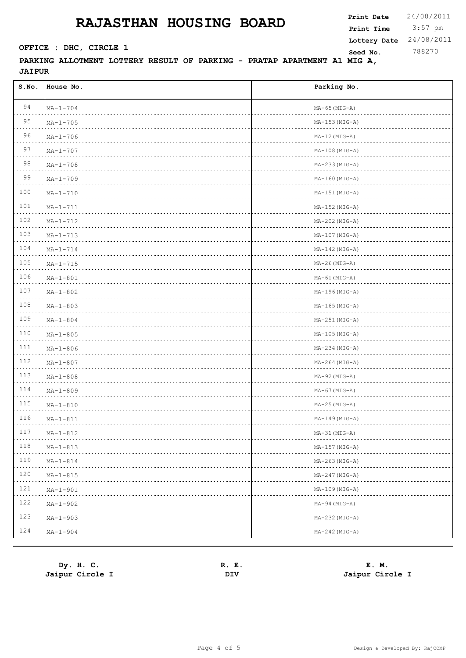3:57 pm **Print Date**  $24/08/2011$ **Print Time Seed No.** 788270 **OFFICE : DHC, CIRCLE 1 Lottery Date** 24/08/2011

| S.NO. | House No.      | Parking No.          |
|-------|----------------|----------------------|
| 94    | $MA - 1 - 704$ | $MA-65$ ( $MIG-A$ )  |
| 95    | $MA - 1 - 705$ | $MA-153(MIG-A)$      |
| 96    | $MA - 1 - 706$ | $MA-12(MIG-A)$       |
| 97    | $MA - 1 - 707$ | $MA-108(MIG-A)$      |
| 98    | $MA - 1 - 708$ | $MA-233(MIG-A)$      |
| 99    | $MA - 1 - 709$ | $MA-160(MIG-A)$      |
| 100   | $MA - 1 - 710$ | $MA-151 (MIG-A)$     |
| 101   | $MA - 1 - 711$ | $MA-152$ ( $MIG-A$ ) |
| 102   | $MA - 1 - 712$ | $MA-202$ ( $MIG-A$ ) |
| 103   | $MA - 1 - 713$ | $MA-107 (MIG-A)$     |
| 104   | $MA - 1 - 714$ | $MA-142$ ( $MIG-A$ ) |
| 105   | $MA - 1 - 715$ | $MA-26(MIG-A)$       |
| 106   | $MA - 1 - 801$ | $MA-61$ ( $MIG-A$ )  |
| 107   | $MA - 1 - 802$ | $MA-196(MIG-A)$      |
| 108   | $MA - 1 - 803$ | $MA-165(MIG-A)$      |
| 109   | $MA - 1 - 804$ | $MA-251$ ( $MIG-A$ ) |
| 110   | $MA - 1 - 805$ | $MA-105(MIG-A)$      |
| 111   | $MA - 1 - 806$ | $MA-234 (MIG-A)$     |
| 112   | $MA - 1 - 807$ | $MA-264 (MIG-A)$     |
| 113   | $MA - 1 - 808$ | $MA-92 (MIG-A)$      |
| 114   | $MA - 1 - 809$ | $MA-67$ (MIG-A)      |
| 115   | $MA - 1 - 810$ | $MA-25(MIG-A)$       |
| 116   | $MA - 1 - 811$ | MA-149 (MIG-A)       |
| 117   | $MA - 1 - 812$ | $MA-31$ (MIG-A)      |
| 118   | $MA - 1 - 813$ | $MA-157 (MIG-A)$     |
| 119   | $MA - 1 - 814$ | $MA-263(MIG-A)$      |
| 120   | $MA - 1 - 815$ | $MA-247 (MIG-A)$     |
| 121   | $MA - 1 - 901$ | $MA-109(MIG-A)$      |
| 122   | $MA - 1 - 902$ | $MA-94 (MIG-A)$      |
| 123   | $MA - 1 - 903$ | $MA-232$ ( $MIG-A$ ) |
| 124   | $MA - 1 - 904$ | $MA-242$ (MIG-A)     |

| Dy. H. C.       | Е.<br>R. | E. M.           |
|-----------------|----------|-----------------|
| Jaipur Circle I | DIV      | Jaipur Circle I |